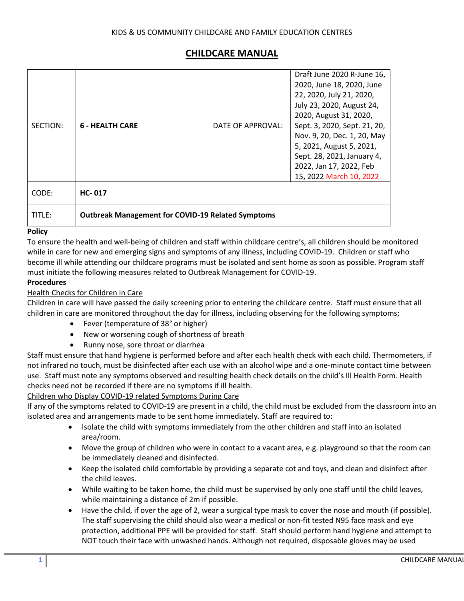# **CHILDCARE MANUAL**

| SECTION: | <b>6 - HEALTH CARE</b>                                   | DATE OF APPROVAL: | Draft June 2020 R-June 16,<br>2020, June 18, 2020, June<br>22, 2020, July 21, 2020,<br>July 23, 2020, August 24,<br>2020, August 31, 2020,<br>Sept. 3, 2020, Sept. 21, 20,<br>Nov. 9, 20, Dec. 1, 20, May<br>5, 2021, August 5, 2021,<br>Sept. 28, 2021, January 4,<br>2022, Jan 17, 2022, Feb<br>15, 2022 March 10, 2022 |
|----------|----------------------------------------------------------|-------------------|---------------------------------------------------------------------------------------------------------------------------------------------------------------------------------------------------------------------------------------------------------------------------------------------------------------------------|
| CODE:    | $HC - 017$                                               |                   |                                                                                                                                                                                                                                                                                                                           |
| TITLE:   | <b>Outbreak Management for COVID-19 Related Symptoms</b> |                   |                                                                                                                                                                                                                                                                                                                           |

#### **Policy**

To ensure the health and well-being of children and staff within childcare centre's, all children should be monitored while in care for new and emerging signs and symptoms of any illness, including COVID-19. Children or staff who become ill while attending our childcare programs must be isolated and sent home as soon as possible. Program staff must initiate the following measures related to Outbreak Management for COVID-19.

#### **Procedures**

#### Health Checks for Children in Care

Children in care will have passed the daily screening prior to entering the childcare centre. Staff must ensure that all children in care are monitored throughout the day for illness, including observing for the following symptoms;

- Fever (temperature of 38° or higher)
- New or worsening cough of shortness of breath
- Runny nose, sore throat or diarrhea

Staff must ensure that hand hygiene is performed before and after each health check with each child. Thermometers, if not infrared no touch, must be disinfected after each use with an alcohol wipe and a one-minute contact time between use. Staff must note any symptoms observed and resulting health check details on the child's Ill Health Form. Health checks need not be recorded if there are no symptoms if ill health.

#### Children who Display COVID-19 related Symptoms During Care

If any of the symptoms related to COVID-19 are present in a child, the child must be excluded from the classroom into an isolated area and arrangements made to be sent home immediately. Staff are required to:

- Isolate the child with symptoms immediately from the other children and staff into an isolated area/room.
- Move the group of children who were in contact to a vacant area, e.g. playground so that the room can be immediately cleaned and disinfected.
- Keep the isolated child comfortable by providing a separate cot and toys, and clean and disinfect after the child leaves.
- While waiting to be taken home, the child must be supervised by only one staff until the child leaves, while maintaining a distance of 2m if possible.
- Have the child, if over the age of 2, wear a surgical type mask to cover the nose and mouth (if possible). The staff supervising the child should also wear a medical or non-fit tested N95 face mask and eye protection, additional PPE will be provided for staff. Staff should perform hand hygiene and attempt to NOT touch their face with unwashed hands. Although not required, disposable gloves may be used